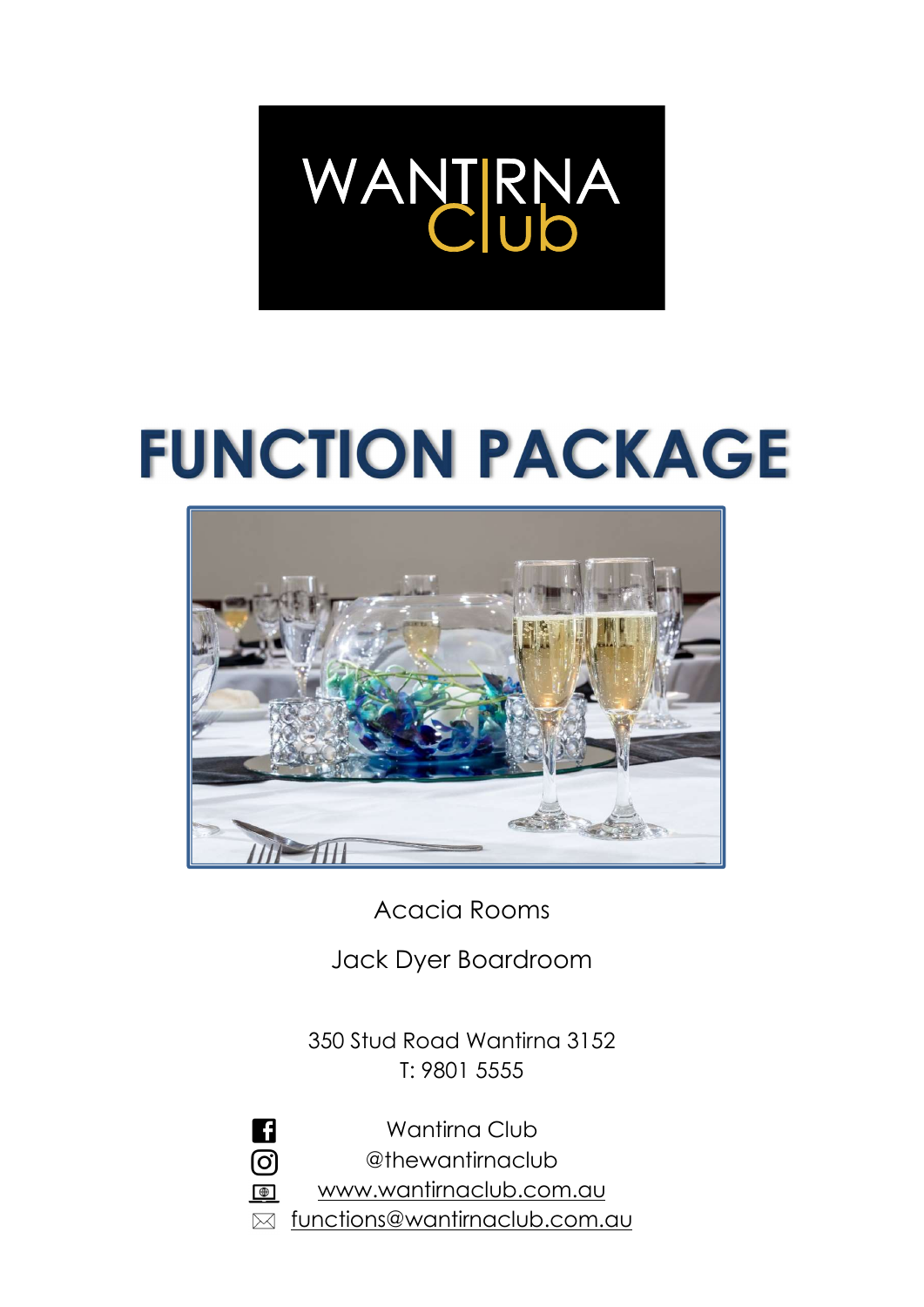# WANTRNA

# **FUNCTION PACKAGE**



Acacia Rooms

Jack Dyer Boardroom

350 Stud Road Wantirna 3152 T: 9801 5555

n Wantirna Club ලු @thewantirnaclub www.wantirnaclub.com.au  $\bigoplus$ functions@wantirnaclub.com.au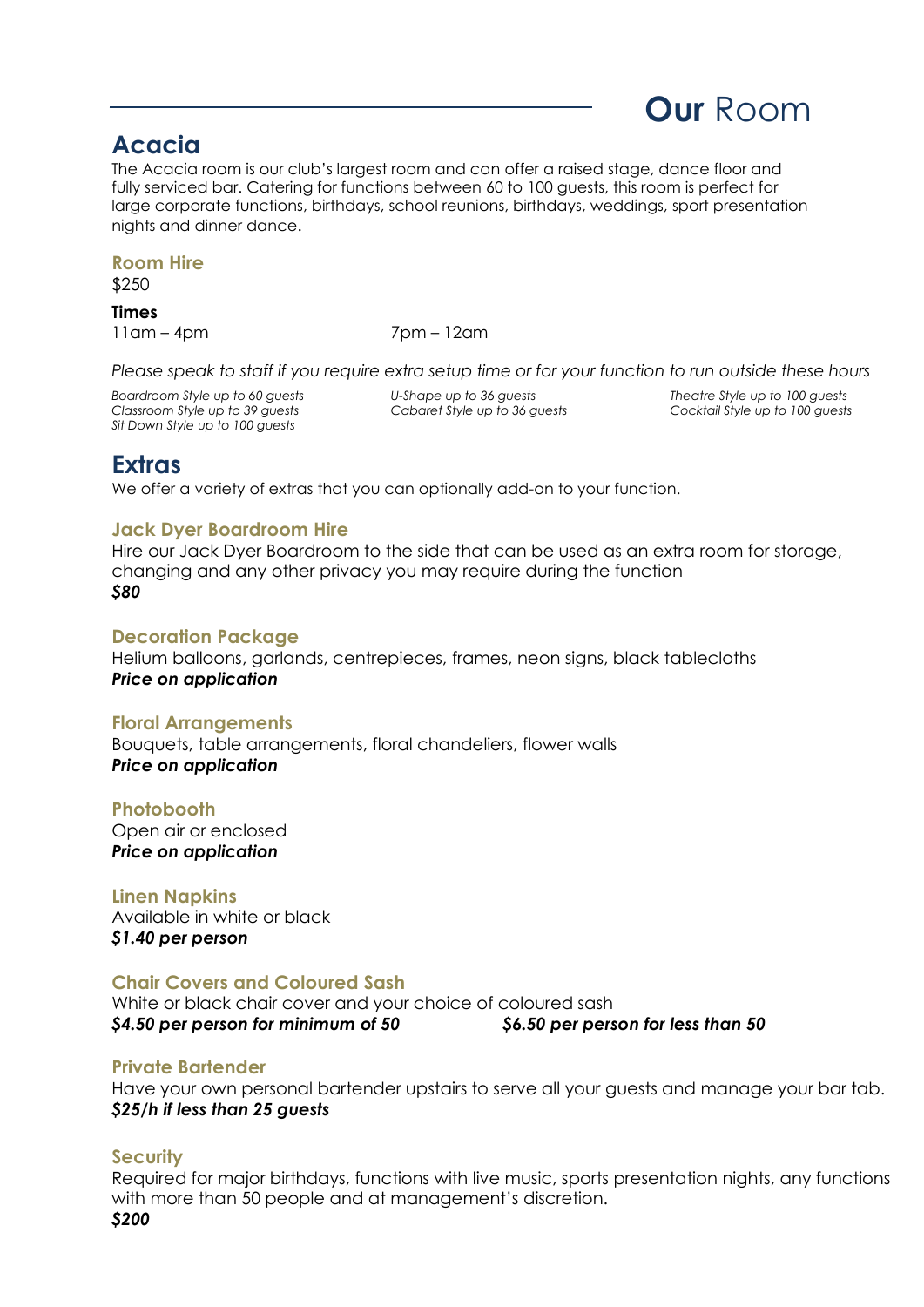#### Acacia

The Acacia room is our club's largest room and can offer a raised stage, dance floor and fully serviced bar. Catering for functions between 60 to 100 guests, this room is perfect for large corporate functions, birthdays, school reunions, birthdays, weddings, sport presentation nights and dinner dance.

#### Room Hire

\$250

Times

11am – 4pm 7pm – 12am

Please speak to staff if you require extra setup time or for your function to run outside these hours

Boardroom Style up to 60 guests U-Shape up to 36 guests Theatre Style up to 100 guests Classroom Style up to 39 guests Cabaret Style up to 36 guests Cocktail Style up to 100 guests Sit Down Style up to 100 guests

Our Room

#### **Extras**

We offer a variety of extras that you can optionally add-on to your function.

#### Jack Dyer Boardroom Hire

Hire our Jack Dyer Boardroom to the side that can be used as an extra room for storage, changing and any other privacy you may require during the function \$80

#### Decoration Package

Helium balloons, garlands, centrepieces, frames, neon signs, black tablecloths Price on application

#### Floral Arrangements

Bouquets, table arrangements, floral chandeliers, flower walls Price on application

#### **Photobooth**

Open air or enclosed Price on application

#### Linen Napkins

Available in white or black \$1.40 per person

#### Chair Covers and Coloured Sash

White or black chair cover and your choice of coloured sash \$4.50 per person for minimum of 50 \$6.50 per person for less than 50

#### Private Bartender

Have your own personal bartender upstairs to serve all your guests and manage your bar tab. \$25/h if less than 25 guests

#### **Security**

Required for major birthdays, functions with live music, sports presentation nights, any functions with more than 50 people and at management's discretion. \$200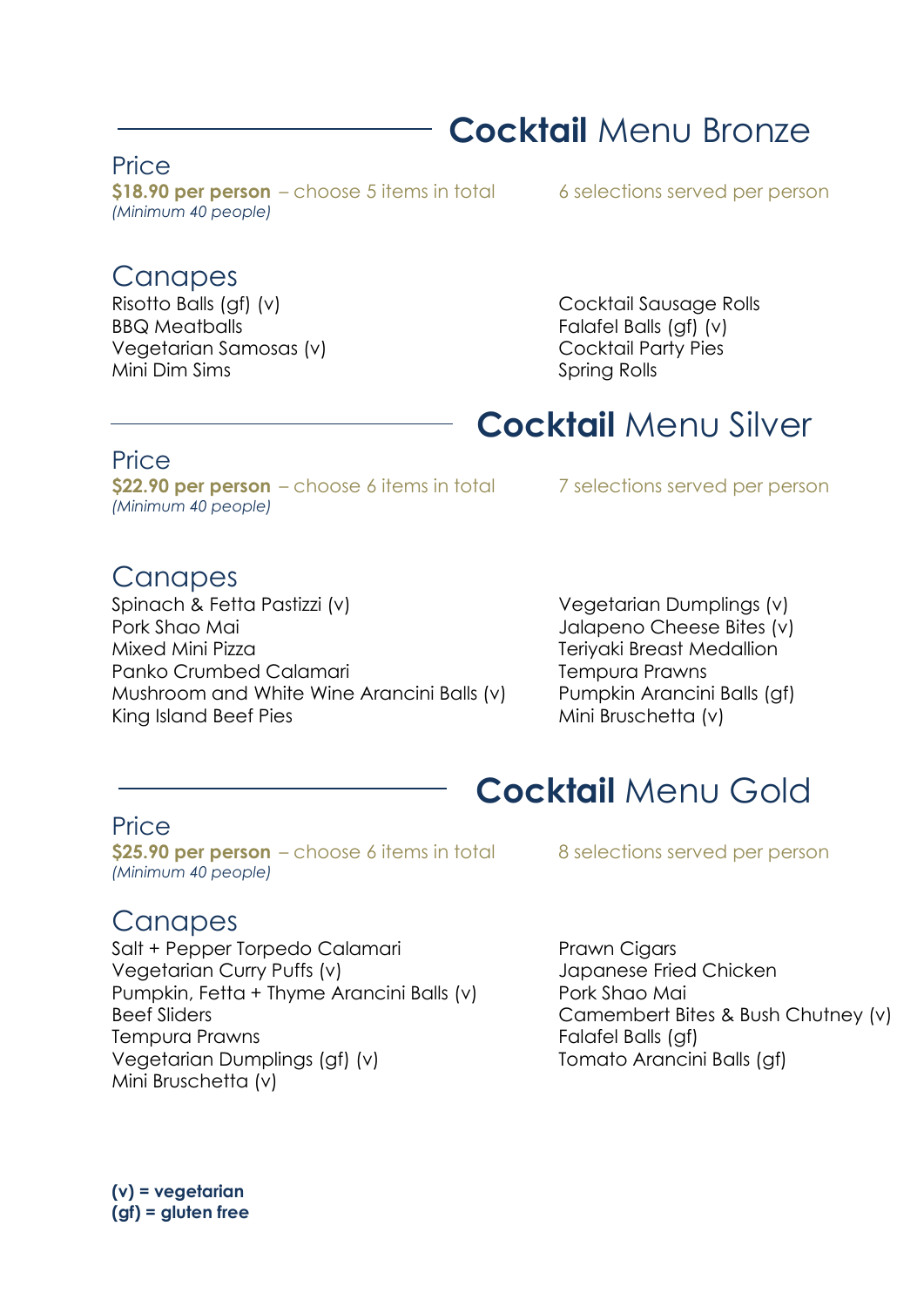## Cocktail Menu Bronze

#### **Price**

\$18.90 per person – choose 5 items in total 6 selections served per person (Minimum 40 people)

#### **Canapes**

BBQ Meatballs Falafel Balls (gf) (v) Vegetarian Samosas (v) Cocktail Party Pies Mini Dim Sims Spring Rolls

Risotto Balls (gf) (v) Cocktail Sausage Rolls

## Cocktail Menu Silver

#### **Price**

 $$22.90$  per person – choose 6 items in total  $7$  selections served per person (Minimum 40 people)

#### **Canapes**

Spinach & Fetta Pastizzi (v) Vegetarian Dumplings (v) Pork Shao Mai **Value 1998** Jalapeno Cheese Bites (v) Mixed Mini Pizza **Teriyaki Breast Medallion** Panko Crumbed Calamari **Tempura Prawns** Mushroom and White Wine Arancini Balls (v) Pumpkin Arancini Balls (gf) King Island Beef Pies Mini Bruschetta (v)

# Cocktail Menu Gold

#### Price

\$25.90 per person  $-$  choose 6 items in total  $\overline{8}$  selections served per person (Minimum 40 people)

#### **Canapes**

Salt + Pepper Torpedo Calamari Prawn Cigars Vegetarian Curry Puffs (v) Japanese Fried Chicken Pumpkin, Fetta + Thyme Arancini Balls (v) Pork Shao Mai Beef Sliders **Camembert Bites & Bush Chutney (v)** Tempura Prawns Tempura Prawns Falafel Balls (gf) Vegetarian Dumplings (gf) (v) Tomato Arancini Balls (gf) Mini Bruschetta (v)

(v) = vegetarian (gf) = gluten free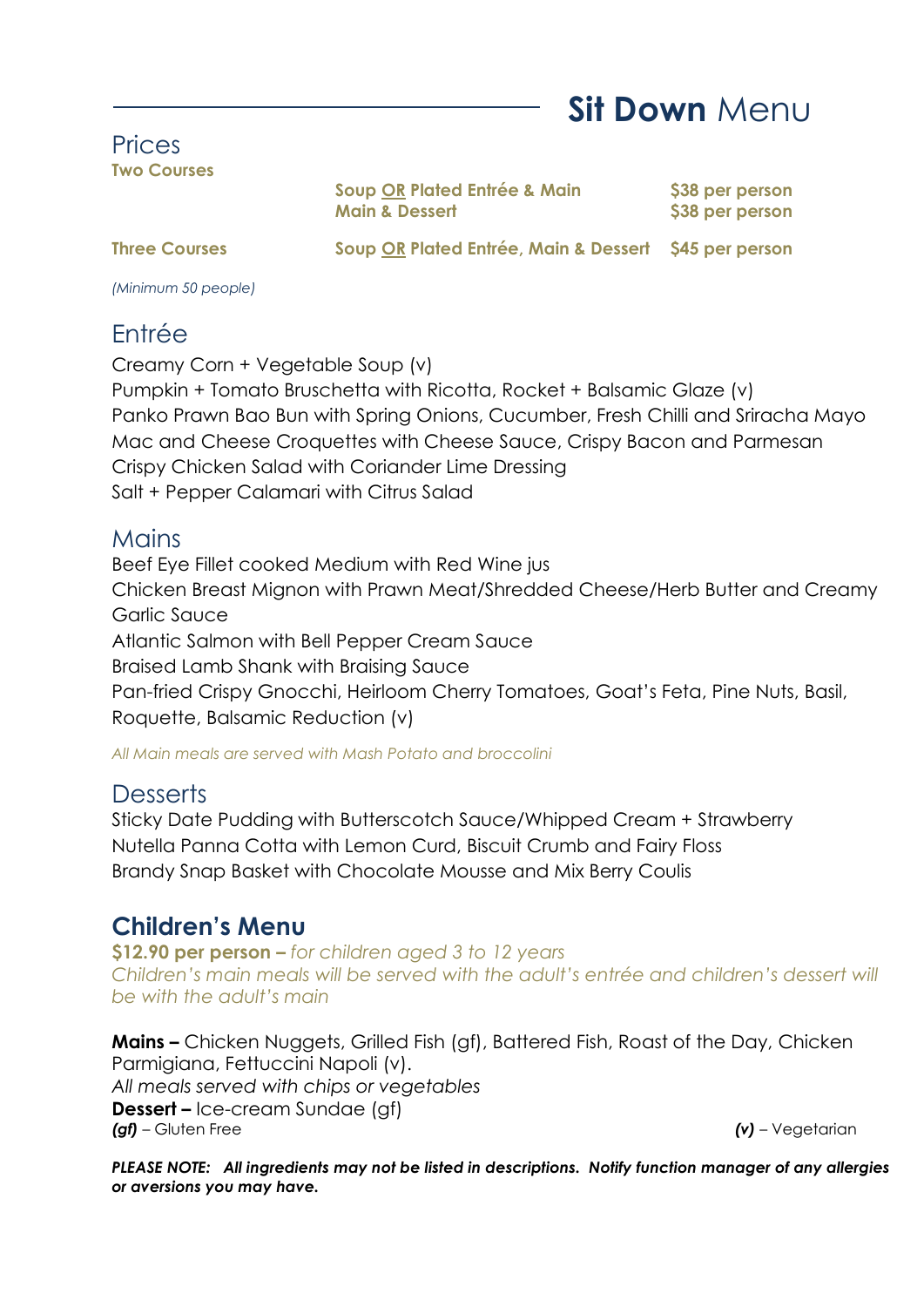Sit Down Menu

#### Prices Two Courses

Soup OR Plated Entrée & Main \$38 per person Main & Dessert  $\sim$  \$38 per person

Three Courses Soup OR Plated Entrée, Main & Dessert \$45 per person

(Minimum 50 people)

#### Entrée

Creamy Corn + Vegetable Soup (v)

Pumpkin + Tomato Bruschetta with Ricotta, Rocket + Balsamic Glaze (v) Panko Prawn Bao Bun with Spring Onions, Cucumber, Fresh Chilli and Sriracha Mayo Mac and Cheese Croquettes with Cheese Sauce, Crispy Bacon and Parmesan Crispy Chicken Salad with Coriander Lime Dressing Salt + Pepper Calamari with Citrus Salad

#### **Mains**

Beef Eye Fillet cooked Medium with Red Wine jus Chicken Breast Mignon with Prawn Meat/Shredded Cheese/Herb Butter and Creamy Garlic Sauce Atlantic Salmon with Bell Pepper Cream Sauce Braised Lamb Shank with Braising Sauce Pan-fried Crispy Gnocchi, Heirloom Cherry Tomatoes, Goat's Feta, Pine Nuts, Basil, Roquette, Balsamic Reduction (v)

All Main meals are served with Mash Potato and broccolini

#### **Desserts**

Sticky Date Pudding with Butterscotch Sauce/Whipped Cream + Strawberry Nutella Panna Cotta with Lemon Curd, Biscuit Crumb and Fairy Floss Brandy Snap Basket with Chocolate Mousse and Mix Berry Coulis

#### Children's Menu

\$12.90 per person - for children aged 3 to 12 years Children's main meals will be served with the adult's entrée and children's dessert will be with the adult's main

Mains – Chicken Nuggets, Grilled Fish (gf), Battered Fish, Roast of the Day, Chicken Parmigiana, Fettuccini Napoli (v). All meals served with chips or vegetables Dessert – Ice-cream Sundae (gf) (gf) – Gluten Free (v) – Vegetarian

PLEASE NOTE: All ingredients may not be listed in descriptions. Notify function manager of any allergies or aversions you may have.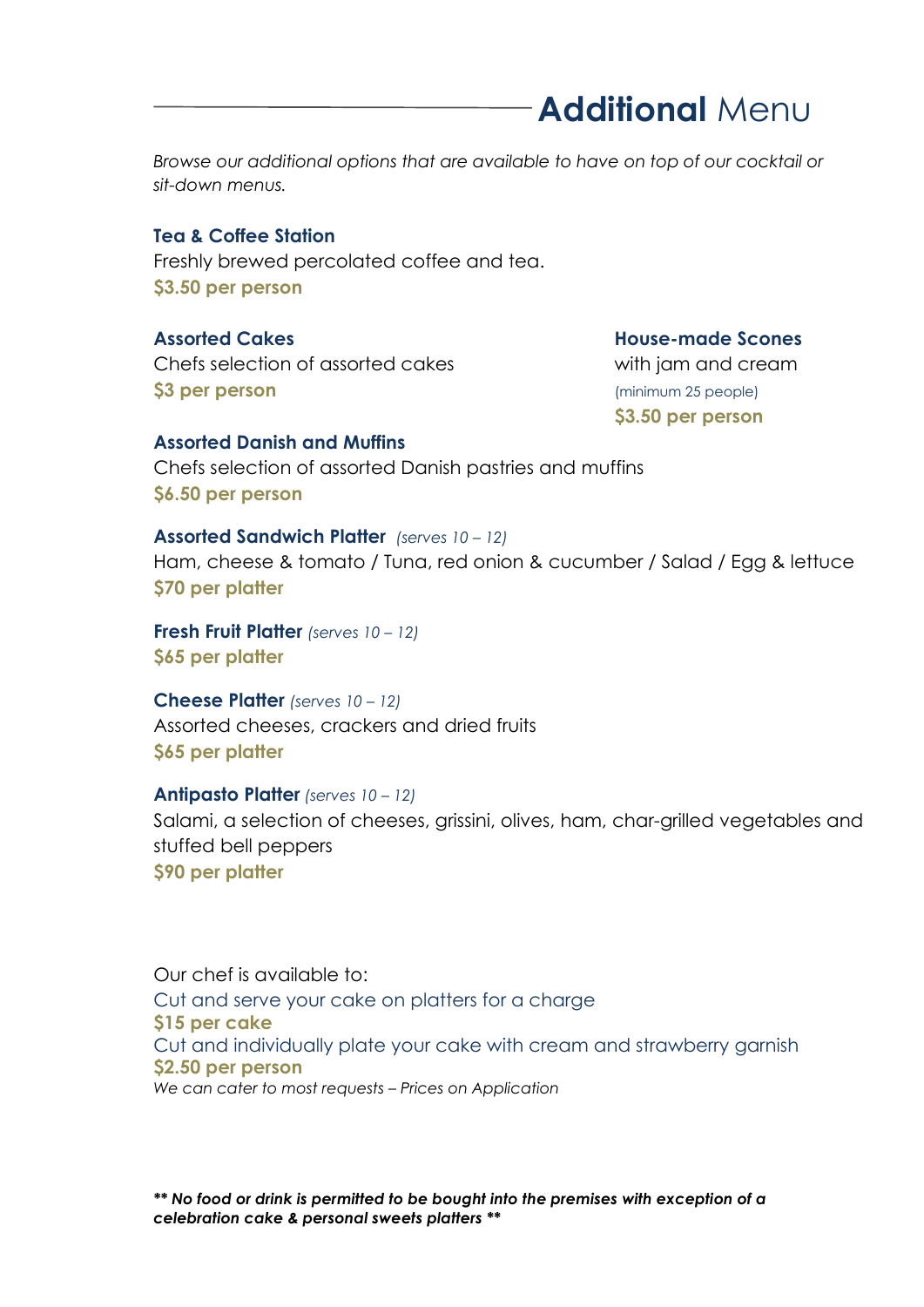# Additional Menu

Browse our additional options that are available to have on top of our cocktail or sit-down menus.

#### Tea & Coffee Station

Freshly brewed percolated coffee and tea. \$3.50 per person

Chefs selection of assorted cakes with jam and cream **\$3 per person** (minimum 25 people)

**Assorted Cakes Cancel Caces Assorted Cakes** Assorted Cakes Assorted Cakes Assorted Cakes Associates Associates

\$3.50 per person

#### Assorted Danish and Muffins

Chefs selection of assorted Danish pastries and muffins \$6.50 per person

#### Assorted Sandwich Platter (serves 10 - 12)

Ham, cheese & tomato / Tuna, red onion & cucumber / Salad / Egg & lettuce \$70 per platter

Fresh Fruit Platter (serves 10 - 12) \$65 per platter

Cheese Platter (serves 10 - 12) Assorted cheeses, crackers and dried fruits \$65 per platter

#### Antipasto Platter (serves 10 – 12)

Salami, a selection of cheeses, grissini, olives, ham, char-grilled vegetables and stuffed bell peppers \$90 per platter

Our chef is available to: Cut and serve your cake on platters for a charge \$15 per cake Cut and individually plate your cake with cream and strawberry garnish \$2.50 per person We can cater to most requests – Prices on Application

\*\* No food or drink is permitted to be bought into the premises with exception of a celebration cake & personal sweets platters \*\*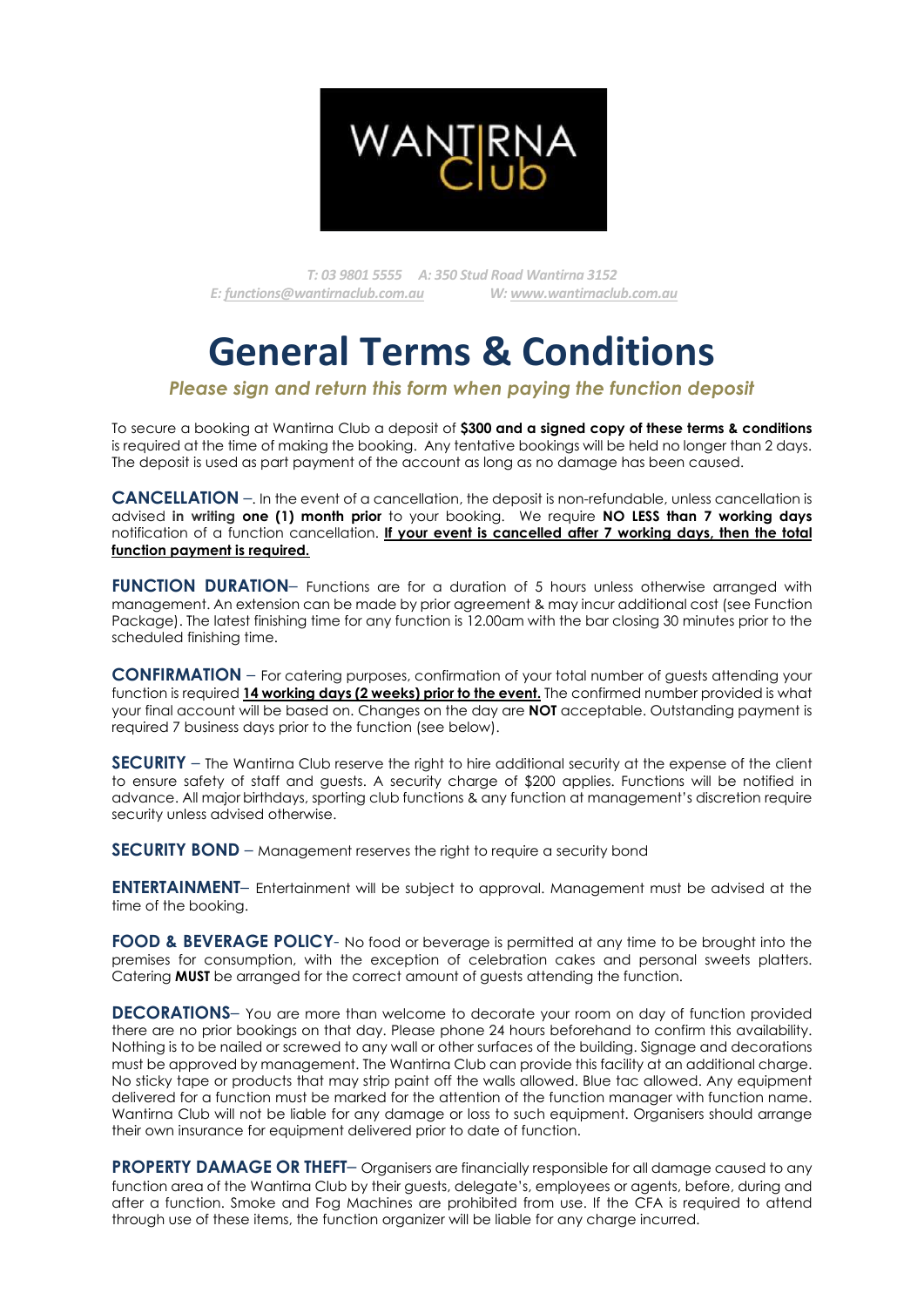

T: 03 9801 5555 A: 350 Stud Road Wantirna 3152 E: functions@wantirnaclub.com.au W: www.wantirnaclub.com.au

# General Terms & Conditions

#### Please sign and return this form when paying the function deposit

To secure a booking at Wantirna Club a deposit of **\$300 and a signed copy of these terms & conditions** is required at the time of making the booking. Any tentative bookings will be held no longer than 2 days. The deposit is used as part payment of the account as long as no damage has been caused.

CANCELLATION –. In the event of a cancellation, the deposit is non-refundable, unless cancellation is advised in writing one (1) month prior to your booking. We require NO LESS than 7 working days notification of a function cancellation. If your event is cancelled after 7 working days, then the total function payment is required.

FUNCTION DURATION- Functions are for a duration of 5 hours unless otherwise arranged with management. An extension can be made by prior agreement & may incur additional cost (see Function Package). The latest finishing time for any function is 12.00am with the bar closing 30 minutes prior to the scheduled finishing time.

CONFIRMATION – For catering purposes, confirmation of your total number of guests attending your function is required 14 working days (2 weeks) prior to the event. The confirmed number provided is what your final account will be based on. Changes on the day are NOT acceptable. Outstanding payment is required 7 business days prior to the function (see below).

SECURITY – The Wantirna Club reserve the right to hire additional security at the expense of the client to ensure safety of staff and guests. A security charge of \$200 applies. Functions will be notified in advance. All majorbirthdays, sporting club functions & any function at management's discretion require security unless advised otherwise.

SECURITY BOND – Management reserves the right to require a security bond

ENTERTAINMENT– Entertainment will be subject to approval. Management must be advised at the time of the booking.

FOOD & BEVERAGE POLICY- No food or beverage is permitted at any time to be brought into the premises for consumption, with the exception of celebration cakes and personal sweets platters. Catering **MUST** be arranged for the correct amount of guests attending the function.

**DECORATIONS**- You are more than welcome to decorate your room on day of function provided there are no prior bookings on that day. Please phone 24 hours beforehand to confirm this availability. Nothing is to be nailed or screwed to any wall or other surfaces of the building. Signage and decorations must be approved by management. The Wantirna Club can provide this facility at an additional charge. No sticky tape or products that may strip paint off the walls allowed. Blue tac allowed. Any equipment delivered for a function must be marked for the attention of the function manager with function name. Wantirna Club will not be liable for any damage or loss to such equipment. Organisers should arrange their own insurance for equipment delivered prior to date of function.

**PROPERTY DAMAGE OR THEFT**– Organisers are financially responsible for all damage caused to any function area of the Wantirna Club by their guests, delegate's, employees or agents, before, during and after a function. Smoke and Fog Machines are prohibited from use. If the CFA is required to attend through use of these items, the function organizer will be liable for any charge incurred.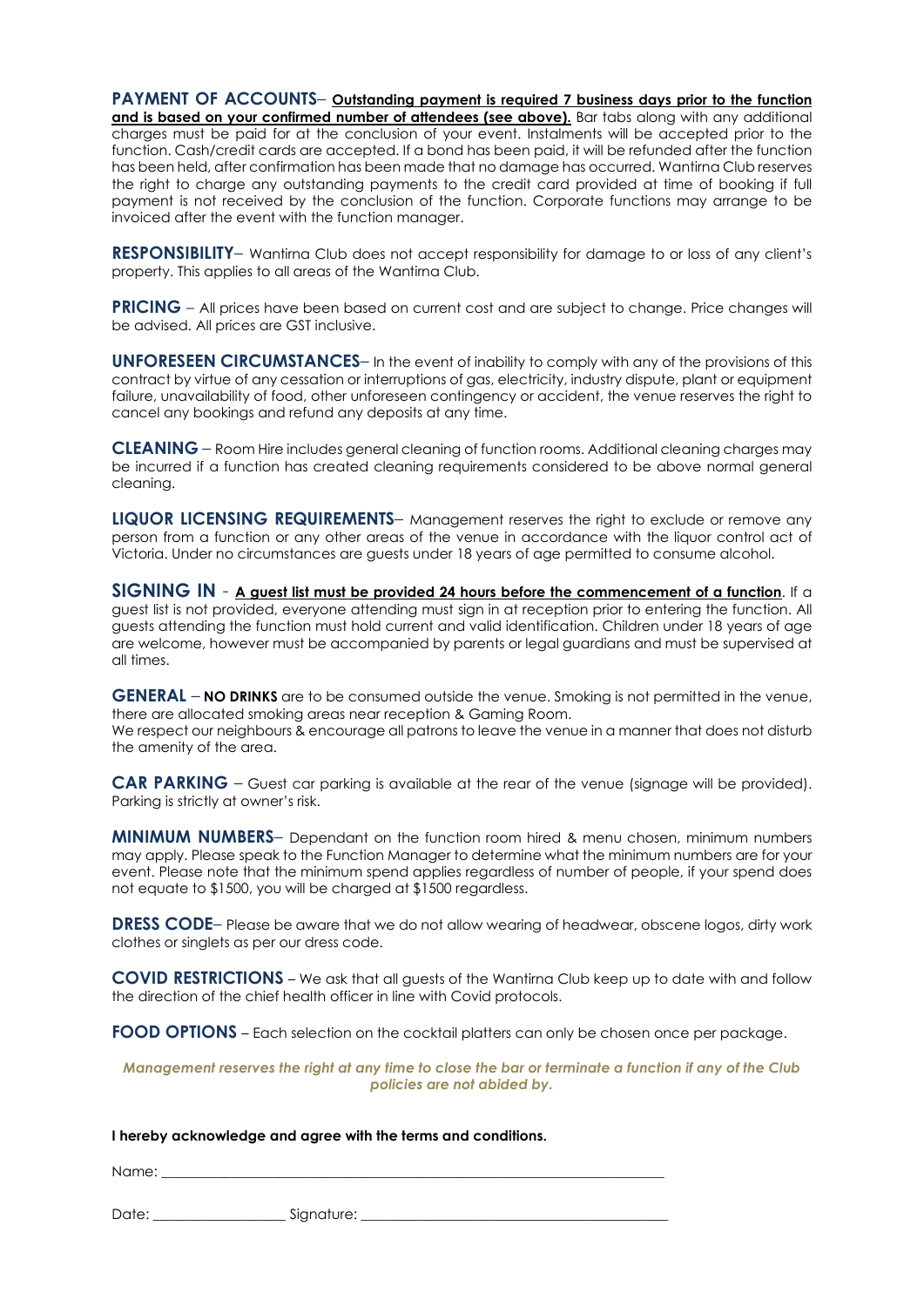PAYMENT OF ACCOUNTS– Outstanding payment is required 7 business days prior to the function and is based on your confirmed number of attendees (see above). Bar tabs along with any additional charges must be paid for at the conclusion of your event. Instalments will be accepted prior to the function. Cash/credit cards are accepted. If a bond has been paid, it will be refunded after the function has been held, after confirmation has been made that no damage has occurred. Wantirna Club reserves the right to charge any outstanding payments to the credit card provided at time of booking if full payment is not received by the conclusion of the function. Corporate functions may arrange to be invoiced after the event with the function manager.

RESPONSIBILITY– Wantirna Club does not accept responsibility for damage to or loss of any client's property. This applies to all areas of the Wantirna Club.

PRICING – All prices have been based on current cost and are subject to change. Price changes will be advised. All prices are GST inclusive.

UNFORESEEN CIRCUMSTANCES– In the event of inability to comply with any of the provisions of this contract by virtue of any cessation or interruptions of gas, electricity, industry dispute, plant or equipment failure, unavailability of food, other unforeseen contingency or accident, the venue reserves the right to cancel any bookings and refund any deposits at any time.

CLEANING – Room Hire includes general cleaning of function rooms. Additional cleaning charges may be incurred if a function has created cleaning requirements considered to be above normal general cleaning.

LIQUOR LICENSING REQUIREMENTS- Management reserves the right to exclude or remove any person from a function or any other areas of the venue in accordance with the liquor control act of Victoria. Under no circumstances are guests under 18 years of age permitted to consume alcohol.

SIGNING IN - A guest list must be provided 24 hours before the commencement of a function. If a guest list is not provided, everyone attending must sign in at reception prior to entering the function. All guests attending the function must hold current and valid identification. Children under 18 years of age are welcome, however must be accompanied by parents or legal guardians and must be supervised at all times.

GENERAL – NO DRINKS are to be consumed outside the venue. Smoking is not permitted in the venue, there are allocated smoking areas near reception & Gaming Room. We respect our neighbours & encourage all patrons to leave the venue in a manner that does not disturb the amenity of the area.

CAR PARKING – Guest car parking is available at the rear of the venue (signage will be provided). Parking is strictly at owner's risk.

**MINIMUM NUMBERS**– Dependant on the function room hired & menu chosen, minimum numbers may apply. Please speak to the Function Manager to determine what the minimum numbers are for your event. Please note that the minimum spend applies regardless of number of people, if your spend does not equate to \$1500, you will be charged at \$1500 regardless.

DRESS CODE– Please be aware that we do not allow wearing of headwear, obscene logos, dirty work clothes or singlets as per our dress code.

COVID RESTRICTIONS – We ask that all guests of the Wantirna Club keep up to date with and follow the direction of the chief health officer in line with Covid protocols.

FOOD OPTIONS – Each selection on the cocktail platters can only be chosen once per package.

#### Management reserves the right at any time to close the bar or terminate a function if any of the Club policies are not abided by.

#### I hereby acknowledge and agree with the terms and conditions.

Name: \_\_\_\_\_\_\_\_\_\_\_\_\_\_\_\_\_\_\_\_\_\_\_\_\_\_\_\_\_\_\_\_\_\_\_\_\_\_\_\_\_\_\_\_\_\_\_\_\_\_\_\_\_\_\_\_\_\_\_\_\_\_\_\_\_\_\_\_\_\_\_\_

Date: \_\_\_\_\_\_\_\_\_\_\_\_\_\_\_\_\_\_\_ Signature: \_\_\_\_\_\_\_\_\_\_\_\_\_\_\_\_\_\_\_\_\_\_\_\_\_\_\_\_\_\_\_\_\_\_\_\_\_\_\_\_\_\_\_\_